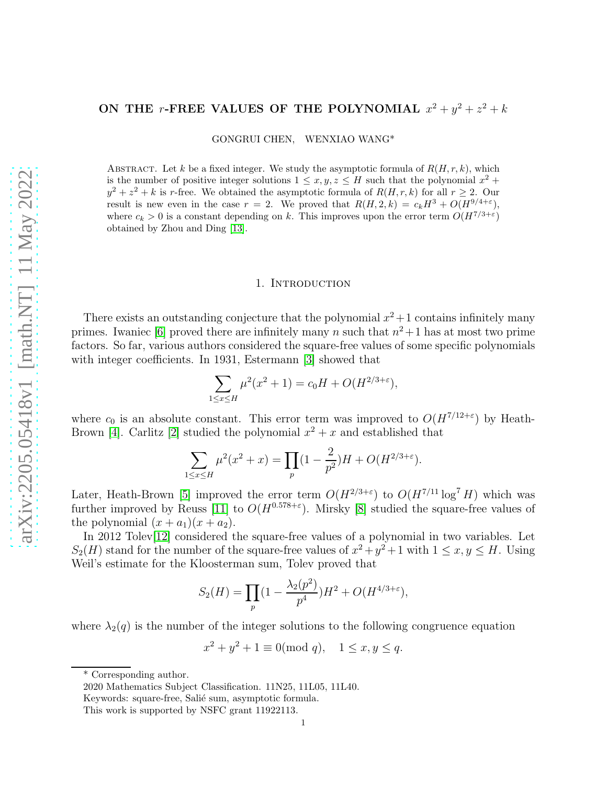## ON THE r-FREE VALUES OF THE POLYNOMIAL  $x^2 + y^2 + z^2 + k$

GONGRUI CHEN, WENXIAO WANG\*

ABSTRACT. Let k be a fixed integer. We study the asymptotic formula of  $R(H, r, k)$ , which is the number of positive integer solutions  $1 \le x, y, z \le H$  such that the polynomial  $x^2 +$  $y^2 + z^2 + k$  is r-free. We obtained the asymptotic formula of  $R(H, r, k)$  for all  $r \geq 2$ . Our result is new even in the case  $r = 2$ . We proved that  $R(H, 2, k) = c_k H^3 + O(H^{9/4+\epsilon}),$ where  $c_k > 0$  is a constant depending on k. This improves upon the error term  $O(H^{7/3+\epsilon})$ obtained by Zhou and Ding [\[13\]](#page-11-0).

## 1. INTRODUCTION

There exists an outstanding conjecture that the polynomial  $x^2 + 1$  contains infinitely many primes. Iwaniec [\[6\]](#page-11-1) proved there are infinitely many n such that  $n^2+1$  has at most two prime factors. So far, various authors considered the square-free values of some specific polynomials with integer coefficients. In 1931, Estermann [\[3\]](#page-11-2) showed that

$$
\sum_{1 \le x \le H} \mu^2(x^2 + 1) = c_0 H + O(H^{2/3 + \varepsilon}),
$$

where  $c_0$  is an absolute constant. This error term was improved to  $O(H^{7/12+\epsilon})$  by Heath-Brown [\[4\]](#page-11-3). Carlitz [\[2\]](#page-11-4) studied the polynomial  $x^2 + x$  and established that

$$
\sum_{1 \le x \le H} \mu^2(x^2 + x) = \prod_p (1 - \frac{2}{p^2})H + O(H^{2/3 + \varepsilon}).
$$

Later, Heath-Brown [\[5\]](#page-11-5) improved the error term  $O(H^{2/3+\epsilon})$  to  $O(H^{7/11} \log^7 H)$  which was further improved by Reuss [\[11\]](#page-11-6) to  $O(H^{0.578+\epsilon})$ . Mirsky [\[8\]](#page-11-7) studied the square-free values of the polynomial  $(x + a_1)(x + a_2)$ .

In 2012 Tolev[\[12\]](#page-11-8) considered the square-free values of a polynomial in two variables. Let  $S_2(H)$  stand for the number of the square-free values of  $x^2 + y^2 + 1$  with  $1 \le x, y \le H$ . Using Weil's estimate for the Kloosterman sum, Tolev proved that

$$
S_2(H) = \prod_p (1 - \frac{\lambda_2(p^2)}{p^4})H^2 + O(H^{4/3 + \varepsilon}),
$$

where  $\lambda_2(q)$  is the number of the integer solutions to the following congruence equation

 $x^2 + y^2 + 1 \equiv 0 \pmod{q}, \quad 1 \le x, y \le q.$ 

<sup>\*</sup> Corresponding author.

<sup>2020</sup> Mathematics Subject Classification. 11N25, 11L05, 11L40.

Keywords: square-free, Salié sum, asymptotic formula.

This work is supported by NSFC grant 11922113.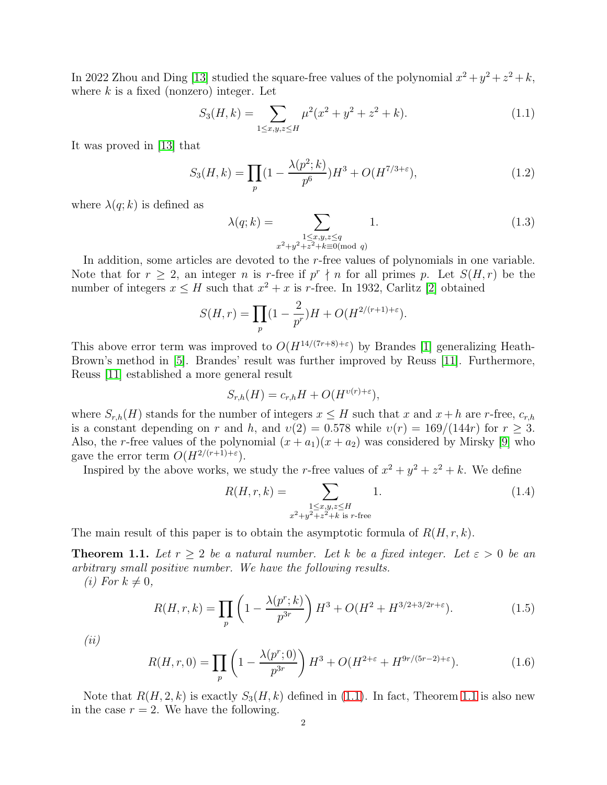In 2022 Zhou and Ding [\[13\]](#page-11-0) studied the square-free values of the polynomial  $x^2 + y^2 + z^2 + k$ , where  $k$  is a fixed (nonzero) integer. Let

<span id="page-1-0"></span>
$$
S_3(H,k) = \sum_{1 \le x,y,z \le H} \mu^2(x^2 + y^2 + z^2 + k). \tag{1.1}
$$

It was proved in [\[13\]](#page-11-0) that

<span id="page-1-2"></span>
$$
S_3(H,k) = \prod_p (1 - \frac{\lambda(p^2;k)}{p^6})H^3 + O(H^{7/3+\epsilon}),\tag{1.2}
$$

where  $\lambda(q; k)$  is defined as

<span id="page-1-3"></span>
$$
\lambda(q;k) = \sum_{\substack{1 \le x,y,z \le q \\ x^2 + y^2 + z^2 + k \equiv 0 \pmod{q}}} 1.
$$
\n(1.3)

In addition, some articles are devoted to the r-free values of polynomials in one variable. Note that for  $r \geq 2$ , an integer n is r-free if  $p^r \nmid n$  for all primes p. Let  $S(H, r)$  be the number of integers  $x \leq H$  such that  $x^2 + x$  is r-free. In 1932, Carlitz [\[2\]](#page-11-4) obtained

$$
S(H,r) = \prod_p (1 - \frac{2}{p^r})H + O(H^{2/(r+1)+\varepsilon}).
$$

This above error term was improved to  $O(H^{14/(7r+8)+\epsilon})$  by Brandes [\[1\]](#page-11-9) generalizing Heath-Brown's method in [\[5\]](#page-11-5). Brandes' result was further improved by Reuss [\[11\]](#page-11-6). Furthermore, Reuss [\[11\]](#page-11-6) established a more general result

$$
S_{r,h}(H) = c_{r,h}H + O(H^{v(r)+\varepsilon}),
$$

where  $S_{r,h}(H)$  stands for the number of integers  $x \leq H$  such that x and  $x + h$  are r-free,  $c_{r,h}$ is a constant depending on r and h, and  $v(2) = 0.578$  while  $v(r) = 169/(144r)$  for  $r \ge 3$ . Also, the r-free values of the polynomial  $(x + a_1)(x + a_2)$  was considered by Mirsky [\[9\]](#page-11-10) who gave the error term  $O(H^{2/(r+1)+\varepsilon}).$ 

Inspired by the above works, we study the *r*-free values of  $x^2 + y^2 + z^2 + k$ . We define

$$
R(H, r, k) = \sum_{\substack{1 \le x, y, z \le H \\ x^2 + y^2 + z^2 + k \text{ is } r\text{-free}}} 1.
$$
 (1.4)

The main result of this paper is to obtain the asymptotic formula of  $R(H, r, k)$ .

<span id="page-1-1"></span>**Theorem 1.1.** Let  $r > 2$  be a natural number. Let k be a fixed integer. Let  $\varepsilon > 0$  be an arbitrary small positive number. We have the following results.

(*i*) For  $k \neq 0$ ,

<span id="page-1-4"></span>
$$
R(H,r,k) = \prod_{p} \left( 1 - \frac{\lambda(p^r;k)}{p^{3r}} \right) H^3 + O(H^2 + H^{3/2+3/2r+\epsilon}). \tag{1.5}
$$

(ii)

<span id="page-1-5"></span>
$$
R(H, r, 0) = \prod_{p} \left( 1 - \frac{\lambda(p^r; 0)}{p^{3r}} \right) H^3 + O(H^{2+\epsilon} + H^{9r/(5r-2)+\epsilon}). \tag{1.6}
$$

Note that  $R(H, 2, k)$  is exactly  $S_3(H, k)$  defined in [\(1.1\)](#page-1-0). In fact, Theorem [1.1](#page-1-1) is also new in the case  $r = 2$ . We have the following.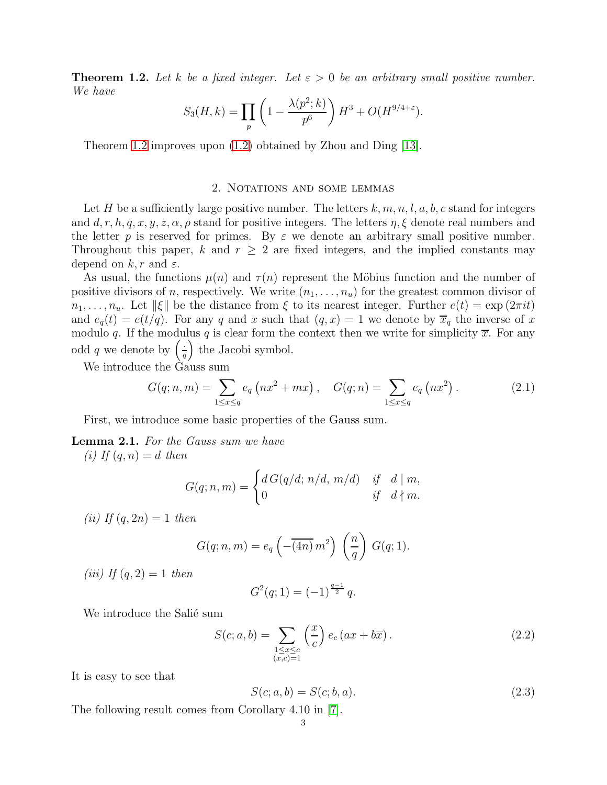<span id="page-2-0"></span>**Theorem 1.2.** Let k be a fixed integer. Let  $\varepsilon > 0$  be an arbitrary small positive number. We have

$$
S_3(H,k) = \prod_p \left(1 - \frac{\lambda(p^2;k)}{p^6}\right) H^3 + O(H^{9/4+\varepsilon}).
$$

Theorem [1.2](#page-2-0) improves upon [\(1.2\)](#page-1-2) obtained by Zhou and Ding [\[13\]](#page-11-0).

## 2. Notations and some lemmas

Let H be a sufficiently large positive number. The letters  $k, m, n, l, a, b, c$  stand for integers and d, r, h, q, x, y, z,  $\alpha$ ,  $\rho$  stand for positive integers. The letters  $\eta$ ,  $\xi$  denote real numbers and the letter p is reserved for primes. By  $\varepsilon$  we denote an arbitrary small positive number. Throughout this paper, k and  $r \geq 2$  are fixed integers, and the implied constants may depend on  $k, r$  and  $\varepsilon$ .

As usual, the functions  $\mu(n)$  and  $\tau(n)$  represent the Möbius function and the number of positive divisors of n, respectively. We write  $(n_1, \ldots, n_u)$  for the greatest common divisor of  $n_1, \ldots, n_u$ . Let  $\|\xi\|$  be the distance from  $\xi$  to its nearest integer. Further  $e(t) = \exp(2\pi i t)$ and  $e_q(t) = e(t/q)$ . For any q and x such that  $(q, x) = 1$  we denote by  $\overline{x}_q$  the inverse of x modulo q. If the modulus q is clear form the context then we write for simplicity  $\bar{x}$ . For any odd q we denote by  $\left(\frac{1}{a}\right)$  $\left(\frac{1}{q}\right)$  the Jacobi symbol.

We introduce the Gauss sum

$$
G(q; n, m) = \sum_{1 \le x \le q} e_q \left( nx^2 + mx \right), \quad G(q; n) = \sum_{1 \le x \le q} e_q \left( nx^2 \right). \tag{2.1}
$$

First, we introduce some basic properties of the Gauss sum.

<span id="page-2-1"></span>Lemma 2.1. For the Gauss sum we have

(i) If  $(q, n) = d$  then

$$
G(q;n,m) = \begin{cases} d G(q/d; n/d, m/d) & \text{if} \quad d \mid m, \\ 0 & \text{if} \quad d \nmid m. \end{cases}
$$

(*ii*) If  $(q, 2n) = 1$  then

$$
G(q; n, m) = e_q\left(-\overline{(4n)} m^2\right) \left(\frac{n}{q}\right) G(q; 1).
$$

(iii) If  $(q, 2) = 1$  then

$$
G^{2}(q; 1) = (-1)^{\frac{q-1}{2}} q.
$$

We introduce the Salié sum

$$
S(c; a, b) = \sum_{\substack{1 \le x \le c \\ (x, c) = 1}} \left(\frac{x}{c}\right) e_c \left(ax + b\overline{x}\right).
$$
 (2.2)

It is easy to see that

$$
S(c; a, b) = S(c; b, a).
$$
\n(2.3)

The following result comes from Corollary 4.10 in [\[7\]](#page-11-11).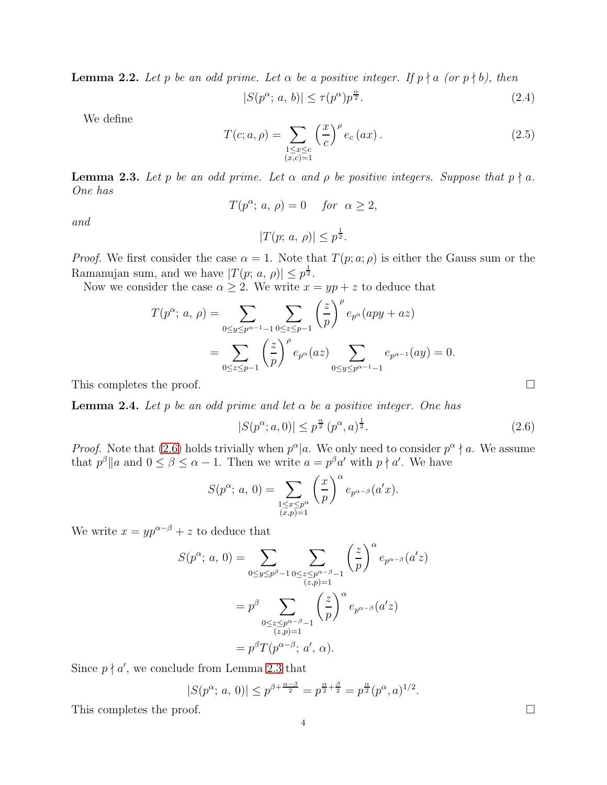<span id="page-3-2"></span>**Lemma 2.2.** Let p be an odd prime. Let  $\alpha$  be a positive integer. If  $p \nmid a$  (or  $p \nmid b$ ), then

$$
|S(p^{\alpha}; a, b)| \le \tau(p^{\alpha})p^{\frac{\alpha}{2}}.
$$
\n(2.4)

We define

$$
T(c;a,\rho) = \sum_{\substack{1 \le x \le c \\ (x,c)=1}} \left(\frac{x}{c}\right)^{\rho} e_c(ax). \tag{2.5}
$$

<span id="page-3-1"></span>**Lemma 2.3.** Let p be an odd prime. Let  $\alpha$  and  $\rho$  be positive integers. Suppose that  $p \nmid a$ . One has

$$
T(p^{\alpha}; a, \rho) = 0 \quad \text{for} \ \alpha \ge 2,
$$

and

 $|T(p; a, \rho)| \leq p^{\frac{1}{2}}.$ 

*Proof.* We first consider the case  $\alpha = 1$ . Note that  $T(p; a; \rho)$  is either the Gauss sum or the Ramanujan sum, and we have  $|T(p; a, \rho)| \leq p^{\frac{1}{2}}$ .

Now we consider the case  $\alpha \geq 2$ . We write  $x = yp + z$  to deduce that

$$
T(p^{\alpha}; a, \rho) = \sum_{0 \le y \le p^{\alpha-1}-1} \sum_{0 \le z \le p-1} {\left(\frac{z}{p}\right)}^{\rho} e_{p^{\alpha}}(ayy + az)
$$
  
= 
$$
\sum_{0 \le z \le p-1} {\left(\frac{z}{p}\right)}^{\rho} e_{p^{\alpha}}(az) \sum_{0 \le y \le p^{\alpha-1}-1} e_{p^{\alpha-1}}(ay) = 0.
$$

This completes the proof.  $\Box$ 

<span id="page-3-3"></span>**Lemma 2.4.** Let p be an odd prime and let  $\alpha$  be a positive integer. One has

$$
|S(p^{\alpha}; a, 0)| \le p^{\frac{\alpha}{2}} (p^{\alpha}, a)^{\frac{1}{2}}.
$$
 (2.6)

*Proof.* Note that [\(2.6\)](#page-3-0) holds trivially when  $p^{\alpha} | a$ . We only need to consider  $p^{\alpha} \nmid a$ . We assume that  $p^{\beta}||a$  and  $0 \leq \beta \leq \alpha - 1$ . Then we write  $a = p^{\beta}a'$  with  $p \nmid a'$ . We have

$$
S(p^{\alpha}; a, 0) = \sum_{\substack{1 \le x \le p^{\alpha} \\ (x, p) = 1}} \left(\frac{x}{p}\right)^{\alpha} e_{p^{\alpha-\beta}}(a'x).
$$

We write  $x = yp^{\alpha-\beta} + z$  to deduce that

$$
S(p^{\alpha}; a, 0) = \sum_{0 \le y \le p^{\beta}-1} \sum_{\substack{0 \le z \le p^{\alpha-\beta}-1 \\ (z,p)=1}} {\left(\frac{z}{p}\right)^{\alpha} e_{p^{\alpha-\beta}}(a'z) \over e_p^{\alpha-\beta} \sum_{\substack{0 \le z \le p^{\alpha-\beta}-1 \\ (z,p)=1}} {\left(\frac{z}{p}\right)^{\alpha} e_{p^{\alpha-\beta}}(a'z) \over e_p^{\alpha-\beta} \sum_{\substack{z \in p^{\alpha-\beta}-1 \\ (z,p)=1}} \overline{\left(\frac{z}{p}\right)^{\alpha} e_{p^{\alpha-\beta}}(a'z)}
$$

Since  $p \nmid a'$ , we conclude from Lemma [2.3](#page-3-1) that

$$
|S(p^{\alpha}; a, 0)| \le p^{\beta + \frac{\alpha - \beta}{2}} = p^{\frac{\alpha}{2} + \frac{\beta}{2}} = p^{\frac{\alpha}{2}}(p^{\alpha}, a)^{1/2}.
$$

This completes the proof.  $\Box$ 

<span id="page-3-0"></span>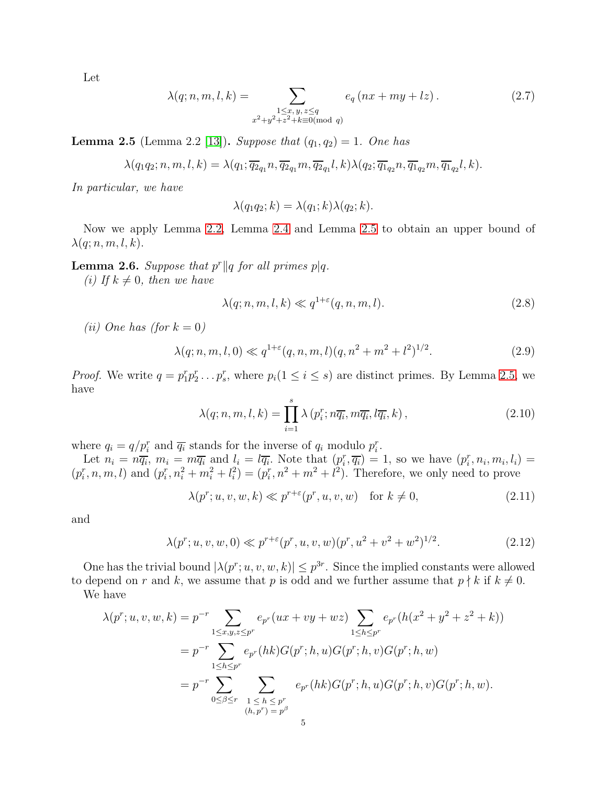Let

$$
\lambda(q; n, m, l, k) = \sum_{\substack{1 \le x, y, z \le q \\ x^2 + y^2 + z^2 + k \equiv 0 \pmod{q}}} e_q \left( nx + my + lz \right). \tag{2.7}
$$

<span id="page-4-0"></span>**Lemma 2.5** (Lemma 2.2 [\[13\]](#page-11-0)). Suppose that  $(q_1, q_2) = 1$ . One has

$$
\lambda(q_1q_2;n,m,l,k) = \lambda(q_1; \overline{q_2}_{q_1}n, \overline{q_2}_{q_1}m, \overline{q_2}_{q_1}l,k) \lambda(q_2; \overline{q_1}_{q_2}n, \overline{q_1}_{q_2}m, \overline{q_1}_{q_2}l,k).
$$

In particular, we have

$$
\lambda(q_1q_2; k) = \lambda(q_1; k)\lambda(q_2; k).
$$

Now we apply Lemma [2.2,](#page-3-2) Lemma [2.4](#page-3-3) and Lemma [2.5](#page-4-0) to obtain an upper bound of  $\lambda(q; n, m, l, k).$ 

**Lemma 2.6.** Suppose that  $p^r || q$  for all primes  $p | q$ .

(i) If  $k \neq 0$ , then we have

<span id="page-4-3"></span>
$$
\lambda(q; n, m, l, k) \ll q^{1+\varepsilon}(q, n, m, l). \tag{2.8}
$$

(*ii*) One has (for  $k = 0$ )

$$
\lambda(q; n, m, l, 0) \ll q^{1+\varepsilon}(q, n, m, l)(q, n^2 + m^2 + l^2)^{1/2}.
$$
\n(2.9)

*Proof.* We write  $q = p_1^r p_2^r \dots p_s^r$ , where  $p_i(1 \leq i \leq s)$  are distinct primes. By Lemma [2.5,](#page-4-0) we have

$$
\lambda(q; n, m, l, k) = \prod_{i=1}^{s} \lambda(p_i^r; n\overline{q_i}, m\overline{q_i}, l\overline{q_i}, k), \qquad (2.10)
$$

where  $q_i = q/p_i^r$  and  $\overline{q_i}$  stands for the inverse of  $q_i$  modulo  $p_i^r$ .

Let  $n_i = n\overline{q_i}$ ,  $m_i = m\overline{q_i}$  and  $l_i = l\overline{q_i}$ . Note that  $(p_i^r, \overline{q_i}) = 1$ , so we have  $(p_i^r, n_i, m_i, l_i) =$  $(p_i^r, n, m, l)$  and  $(p_i^r, n_i^2 + m_i^2 + l_i^2) = (p_i^r, n^2 + m^2 + l^2)$ . Therefore, we only need to prove

<span id="page-4-2"></span><span id="page-4-1"></span>
$$
\lambda(p^r; u, v, w, k) \ll p^{r+\varepsilon}(p^r, u, v, w) \quad \text{for } k \neq 0,
$$
\n(2.11)

and

$$
\lambda(p^r; u, v, w, 0) \ll p^{r+\varepsilon}(p^r, u, v, w)(p^r, u^2 + v^2 + w^2)^{1/2}.
$$
\n(2.12)

One has the trivial bound  $|\lambda(p^r; u, v, w, k)| \leq p^{3r}$ . Since the implied constants were allowed to depend on r and k, we assume that p is odd and we further assume that  $p \nmid k$  if  $k \neq 0$ .

We have

$$
\lambda(p^r; u, v, w, k) = p^{-r} \sum_{1 \le x, y, z \le p^r} e_{p^r}(ux + vy + wz) \sum_{1 \le h \le p^r} e_{p^r}(h(x^2 + y^2 + z^2 + k))
$$
  
=  $p^{-r} \sum_{1 \le h \le p^r} e_{p^r}(hk)G(p^r; h, u)G(p^r; h, v)G(p^r; h, w)$   
=  $p^{-r} \sum_{0 \le \beta \le r} \sum_{\substack{1 \le h \le p^r \\ (h, p^r) = p^{\beta}}} e_{p^r}(hk)G(p^r; h, u)G(p^r; h, v)G(p^r; h, w).$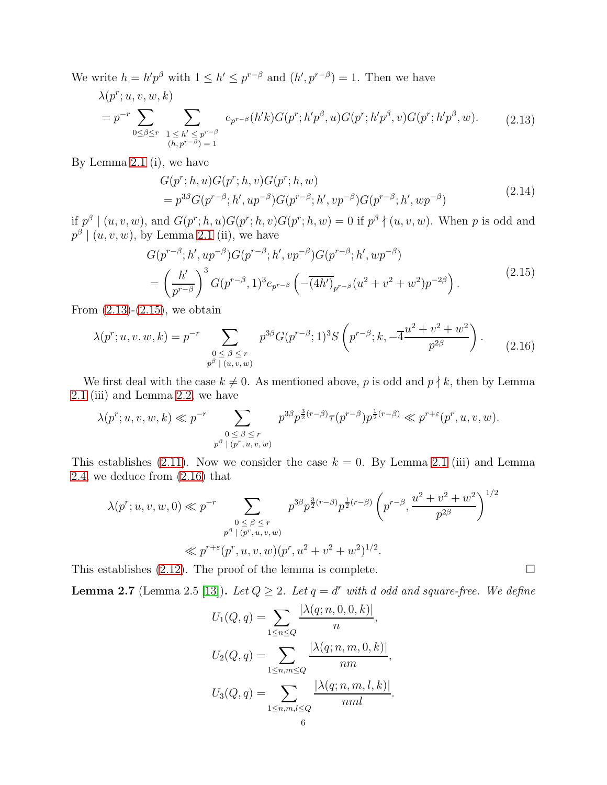We write  $h = h'p^{\beta}$  with  $1 \leq h' \leq p^{r-\beta}$  and  $(h', p^{r-\beta}) = 1$ . Then we have

<span id="page-5-0"></span>
$$
\lambda(p^r; u, v, w, k) = p^{-r} \sum_{0 \le \beta \le r} \sum_{\substack{1 \le h' \le p^{r-\beta} \\ (h, p^{r-\beta}) = 1}} e_{p^{r-\beta}}(h'k) G(p^r; h'p^{\beta}, u) G(p^r; h'p^{\beta}, v) G(p^r; h'p^{\beta}, w).
$$
 (2.13)

By Lemma [2.1](#page-2-1) (i), we have

$$
G(p^r; h, u)G(p^r; h, v)G(p^r; h, w)
$$
  
=  $p^{3\beta}G(p^{r-\beta}; h', up^{-\beta})G(p^{r-\beta}; h', vp^{-\beta})G(p^{r-\beta}; h', wp^{-\beta})$  (2.14)

if  $p^{\beta} \mid (u, v, w)$ , and  $G(p^r; h, u)G(p^r; h, v)G(p^r; h, w) = 0$  if  $p^{\beta} \nmid (u, v, w)$ . When p is odd and  $p^{\beta} \mid (u, v, w)$ , by Lemma [2.1](#page-2-1) (ii), we have

<span id="page-5-1"></span>
$$
G(p^{r-\beta};h',up^{-\beta})G(p^{r-\beta};h',vp^{-\beta})G(p^{r-\beta};h',wp^{-\beta})
$$
  
=  $\left(\frac{h'}{p^{r-\beta}}\right)^3 G(p^{r-\beta},1)^3 e_{p^{r-\beta}} \left(-\overline{(4h')}_{p^{r-\beta}}(u^2+v^2+w^2)p^{-2\beta}\right).$  (2.15)

From  $(2.13)-(2.15)$  $(2.13)-(2.15)$ , we obtain

<span id="page-5-2"></span>
$$
\lambda(p^r; u, v, w, k) = p^{-r} \sum_{\substack{0 \le \beta \le r \\ p^{\beta} \mid (u, v, w)}} p^{3\beta} G(p^{r-\beta}; 1)^3 S\left(p^{r-\beta}; k, -\overline{4\frac{u^2 + v^2 + w^2}{p^{2\beta}}}\right).
$$
 (2.16)

We first deal with the case  $k \neq 0$ . As mentioned above, p is odd and  $p \nmid k$ , then by Lemma [2.1](#page-2-1) (iii) and Lemma [2.2,](#page-3-2) we have

$$
\lambda(p^r; u, v, w, k) \ll p^{-r} \sum_{\substack{0 \le \beta \le r \\ p^{\beta} \mid (p^r, u, v, w)}} p^{3\beta} p^{\frac{3}{2}(r-\beta)} \tau(p^{r-\beta}) p^{\frac{1}{2}(r-\beta)} \ll p^{r+\varepsilon}(p^r, u, v, w).
$$

This establishes [\(2.11\)](#page-4-1). Now we consider the case  $k = 0$ . By Lemma [2.1](#page-2-1) (iii) and Lemma [2.4,](#page-3-3) we deduce from [\(2.16\)](#page-5-2) that

$$
\lambda(p^r; u, v, w, 0) \ll p^{-r} \sum_{\substack{0 \le \beta \le r \\ p^{\beta} \mid (p^r, u, v, w)}} p^{3\beta} p^{\frac{3}{2}(r-\beta)} p^{\frac{1}{2}(r-\beta)} \left( p^{r-\beta}, \frac{u^2 + v^2 + w^2}{p^{2\beta}} \right)^{1/2}
$$
  

$$
\ll p^{r+\varepsilon} (p^r, u, v, w) (p^r, u^2 + v^2 + w^2)^{1/2}.
$$

This establishes  $(2.12)$ . The proof of the lemma is complete.

<span id="page-5-3"></span>**Lemma 2.7** (Lemma 2.5 [\[13\]](#page-11-0)). Let  $Q \geq 2$ . Let  $q = d^r$  with d odd and square-free. We define

$$
U_1(Q, q) = \sum_{1 \le n \le Q} \frac{|\lambda(q; n, 0, 0, k)|}{n},
$$
  
\n
$$
U_2(Q, q) = \sum_{1 \le n, m \le Q} \frac{|\lambda(q; n, m, 0, k)|}{nm},
$$
  
\n
$$
U_3(Q, q) = \sum_{1 \le n, m, l \le Q} \frac{|\lambda(q; n, m, l, k)|}{nml}.
$$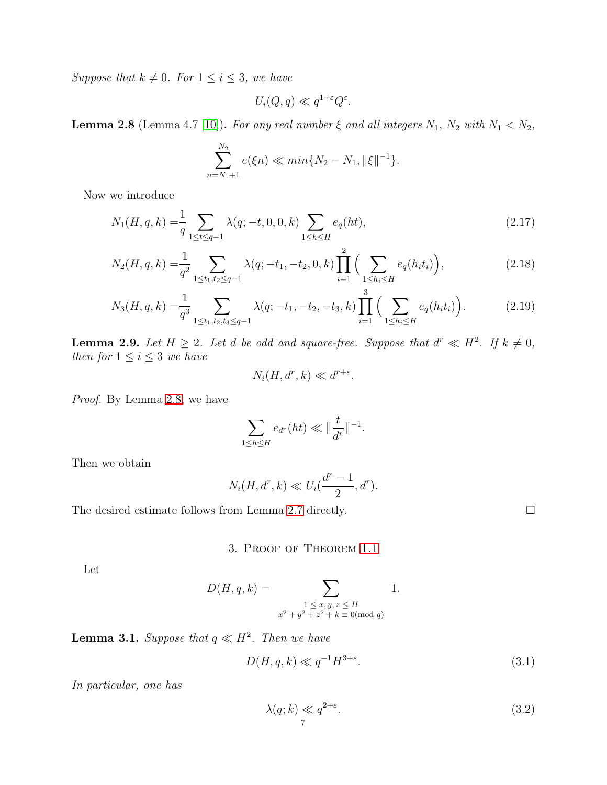Suppose that  $k \neq 0$ . For  $1 \leq i \leq 3$ , we have

<span id="page-6-4"></span>
$$
U_i(Q, q) \ll q^{1+\varepsilon} Q^{\varepsilon}.
$$

<span id="page-6-0"></span>**Lemma 2.8** (Lemma 4.7 [\[10\]](#page-11-12)). For any real number  $\xi$  and all integers  $N_1$ ,  $N_2$  with  $N_1 < N_2$ ,

$$
\sum_{n=N_1+1}^{N_2} e(\xi n) \ll \min\{N_2 - N_1, \|\xi\|^{-1}\}.
$$

Now we introduce

$$
N_1(H, q, k) = \frac{1}{q} \sum_{1 \le t \le q-1} \lambda(q; -t, 0, 0, k) \sum_{1 \le h \le H} e_q(ht),
$$
\n(2.17)

$$
N_2(H, q, k) = \frac{1}{q^2} \sum_{1 \le t_1, t_2 \le q-1} \lambda(q; -t_1, -t_2, 0, k) \prod_{i=1}^2 \left( \sum_{1 \le h_i \le H} e_q(h_i t_i) \right),
$$
\n(2.18)

$$
N_3(H, q, k) = \frac{1}{q^3} \sum_{1 \le t_1, t_2, t_3 \le q-1} \lambda(q; -t_1, -t_2, -t_3, k) \prod_{i=1}^3 \left( \sum_{1 \le h_i \le H} e_q(h_i t_i) \right).
$$
 (2.19)

<span id="page-6-6"></span>**Lemma 2.9.** Let  $H \geq 2$ . Let d be odd and square-free. Suppose that  $d^r \ll H^2$ . If  $k \neq 0$ , then for  $1 \leq i \leq 3$  we have

<span id="page-6-7"></span><span id="page-6-5"></span>
$$
N_i(H, d^r, k) \ll d^{r+\varepsilon}.
$$

Proof. By Lemma [2.8,](#page-6-0) we have

$$
\sum_{1\leq h\leq H}e_{d^r}(ht)\ll \|\frac{t}{d^r}\|^{-1}.
$$

Then we obtain

$$
N_i(H, d^r, k) \ll U_i(\frac{d^r - 1}{2}, d^r).
$$

The desired estimate follows from Lemma [2.7](#page-5-3) directly.

3. Proof of Theorem [1.1](#page-1-1)

Let

$$
D(H, q, k) = \sum_{\substack{1 \le x, y, z \le H \\ x^2 + y^2 + z^2 + k \equiv 0 \pmod{q}}} 1.
$$

<span id="page-6-3"></span>**Lemma 3.1.** Suppose that  $q \ll H^2$ . Then we have

$$
D(H, q, k) \ll q^{-1} H^{3+\varepsilon}.
$$
\n(3.1)

In particular, one has

<span id="page-6-2"></span><span id="page-6-1"></span>
$$
\lambda(q;k) \ll q^{2+\varepsilon}.\tag{3.2}
$$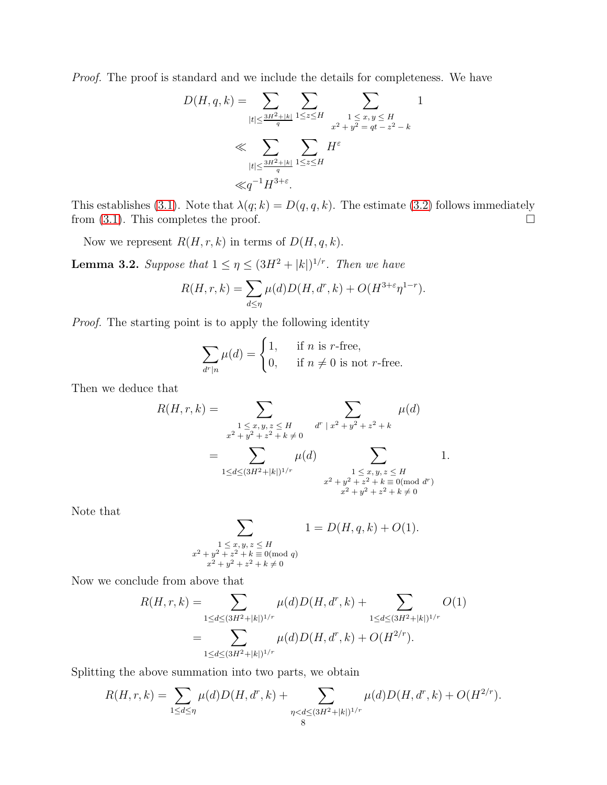Proof. The proof is standard and we include the details for completeness. We have

$$
D(H, q, k) = \sum_{|t| \le \frac{3H^2 + |k|}{q}} \sum_{1 \le z \le H} \sum_{\substack{1 \le x, y \le H \\ x^2 + y^2 = qt - z^2 - k}} 1
$$
  

$$
\ll \sum_{|t| \le \frac{3H^2 + |k|}{q}} \sum_{1 \le z \le H} H^{\varepsilon}
$$
  

$$
\ll q^{-1} H^{3+\varepsilon}.
$$

This establishes [\(3.1\)](#page-6-1). Note that  $\lambda(q; k) = D(q, q, k)$ . The estimate [\(3.2\)](#page-6-2) follows immediately from [\(3.1\)](#page-6-1). This completes the proof.  $\square$ 

Now we represent  $R(H, r, k)$  in terms of  $D(H, q, k)$ .

<span id="page-7-0"></span>**Lemma 3.2.** Suppose that  $1 \leq \eta \leq (3H^2 + |k|)^{1/r}$ . Then we have

$$
R(H, r, k) = \sum_{d \le \eta} \mu(d) D(H, d^r, k) + O(H^{3+\epsilon} \eta^{1-r}).
$$

Proof. The starting point is to apply the following identity

$$
\sum_{d^r|n} \mu(d) = \begin{cases} 1, & \text{if } n \text{ is } r\text{-free,} \\ 0, & \text{if } n \neq 0 \text{ is not } r\text{-free.} \end{cases}
$$

Then we deduce that

$$
R(H,r,k) = \sum_{\substack{1 \le x,y,z \le H \\ x^2 + y^2 + z^2 + k \neq 0}} \sum_{\substack{d^r | x^2 + y^2 + z^2 + k}} \mu(d)
$$
  
= 
$$
\sum_{1 \le d \le (3H^2 + |k|)^{1/r}} \mu(d) \sum_{\substack{1 \le x,y,z \le H \\ x^2 + y^2 + z^2 + k \equiv 0 \pmod{d^r} \\ x^2 + y^2 + z^2 + k \neq 0}} 1.
$$

Note that

$$
\sum_{\substack{1 \le x, y, z \le H \\ x^2 + y^2 + z^2 + k \equiv 0 \pmod{q} \\ x^2 + y^2 + z^2 + k \ne 0}} 1 = D(H, q, k) + O(1).
$$

Now we conclude from above that

$$
R(H,r,k) = \sum_{1 \le d \le (3H^2+|k|)^{1/r}} \mu(d)D(H,d^r,k) + \sum_{1 \le d \le (3H^2+|k|)^{1/r}} O(1)
$$
  
= 
$$
\sum_{1 \le d \le (3H^2+|k|)^{1/r}} \mu(d)D(H,d^r,k) + O(H^{2/r}).
$$

Splitting the above summation into two parts, we obtain

$$
R(H,r,k) = \sum_{1 \le d \le \eta} \mu(d) D(H,d^r,k) + \sum_{\substack{\eta < d \le (3H^2 + |k|)^{1/r} \\ 8}} \mu(d) D(H,d^r,k) + O(H^{2/r}).
$$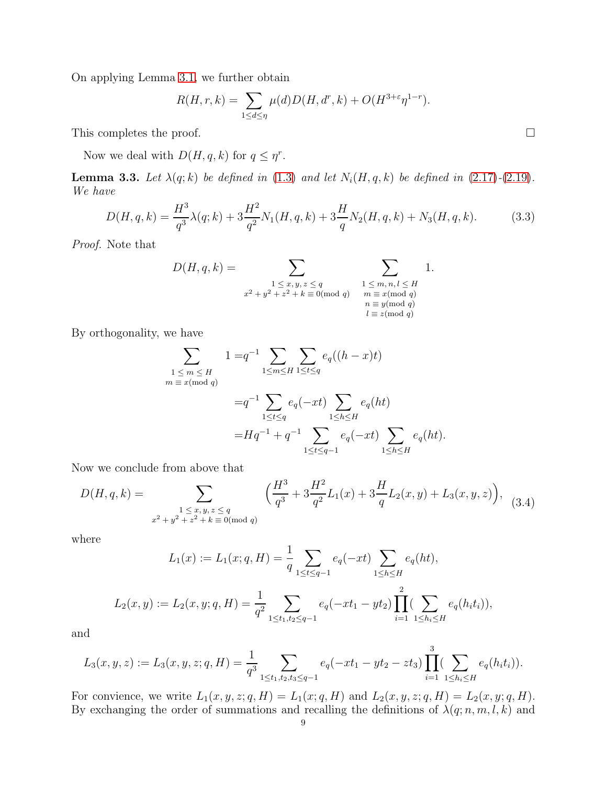On applying Lemma [3.1,](#page-6-3) we further obtain

$$
R(H,r,k) = \sum_{1 \le d \le \eta} \mu(d) D(H,d^r,k) + O(H^{3+\varepsilon}\eta^{1-r}).
$$

This completes the proof.  $\Box$ 

Now we deal with  $D(H, q, k)$  for  $q \leq \eta^r$ .

<span id="page-8-2"></span>**Lemma 3.3.** Let  $\lambda(q;k)$  be defined in [\(1.3\)](#page-1-3) and let  $N_i(H, q, k)$  be defined in [\(2.17\)](#page-6-4)-[\(2.19\)](#page-6-5). We have

<span id="page-8-0"></span>
$$
D(H, q, k) = \frac{H^3}{q^3} \lambda(q; k) + 3\frac{H^2}{q^2} N_1(H, q, k) + 3\frac{H}{q} N_2(H, q, k) + N_3(H, q, k).
$$
 (3.3)

Proof. Note that

$$
D(H, q, k) = \sum_{\substack{1 \le x, y, z \le q \\ x^2 + y^2 + z^2 + k \equiv 0 \pmod{q}}} \sum_{\substack{1 \le m, n, l \le H \\ m \equiv x \pmod{q} \\ n \equiv y \pmod{q} \\ l \equiv z \pmod{q}}}
$$
1.

By orthogonality, we have

$$
\sum_{\substack{1 \le m \le H \\ m \equiv x \pmod{q}}} 1 = q^{-1} \sum_{1 \le m \le H} \sum_{1 \le t \le q} e_q((h-x)t)
$$
  
=  $q^{-1} \sum_{1 \le t \le q} e_q(-xt) \sum_{1 \le h \le H} e_q(ht)$   
=  $Hq^{-1} + q^{-1} \sum_{1 \le t \le q^{-1}} e_q(-xt) \sum_{1 \le h \le H} e_q(ht).$ 

Now we conclude from above that

<span id="page-8-1"></span>
$$
D(H, q, k) = \sum_{\substack{1 \le x, y, z \le q \\ x^2 + y^2 + z^2 + k \equiv 0 \pmod{q}}} \left( \frac{H^3}{q^3} + 3\frac{H^2}{q^2} L_1(x) + 3\frac{H}{q} L_2(x, y) + L_3(x, y, z) \right), \tag{3.4}
$$

where

$$
L_1(x) := L_1(x; q, H) = \frac{1}{q} \sum_{1 \le t \le q-1} e_q(-xt) \sum_{1 \le h \le H} e_q(ht),
$$
  

$$
L_2(x, y) := L_2(x, y; q, H) = \frac{1}{q^2} \sum_{1 \le t_1, t_2 \le q-1} e_q(-xt_1 - yt_2) \prod_{i=1}^2 (\sum_{1 \le h_i \le H} e_q(h_i t_i)),
$$

and

$$
L_3(x, y, z) := L_3(x, y, z; q, H) = \frac{1}{q^3} \sum_{1 \le t_1, t_2, t_3 \le q-1} e_q(-xt_1 - yt_2 - zt_3) \prod_{i=1}^3 \left(\sum_{1 \le h_i \le H} e_q(h_i t_i)\right).
$$

For convience, we write  $L_1(x, y, z; q, H) = L_1(x; q, H)$  and  $L_2(x, y, z; q, H) = L_2(x, y; q, H)$ . By exchanging the order of summations and recalling the definitions of  $\lambda(q; n, m, l, k)$  and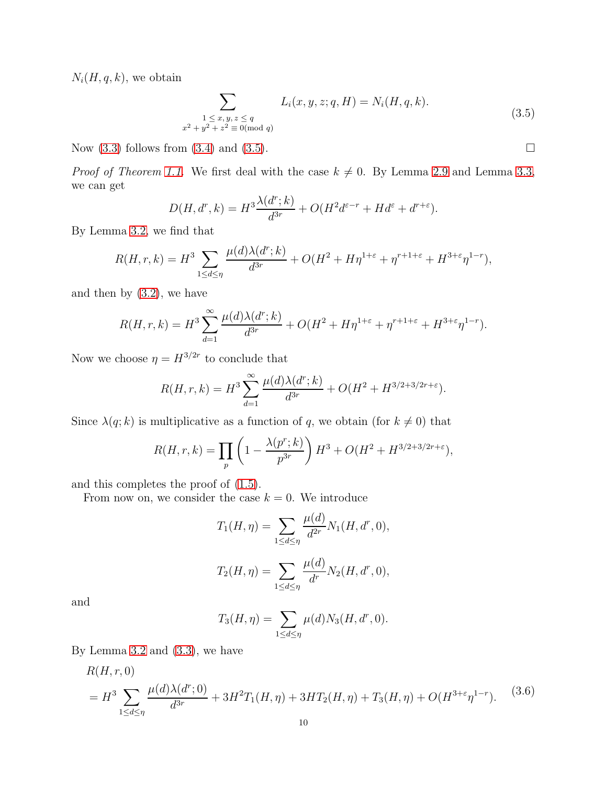$N_i(H, q, k)$ , we obtain

<span id="page-9-0"></span>
$$
\sum_{\substack{1 \le x, y, z \le q \\ x^2 + y^2 + z^2 \equiv 0 \pmod{q}}} L_i(x, y, z; q, H) = N_i(H, q, k). \tag{3.5}
$$

Now  $(3.3)$  follows from  $(3.4)$  and  $(3.5)$ .

*Proof of Theorem [1.1.](#page-1-1)* We first deal with the case  $k \neq 0$ . By Lemma [2.9](#page-6-6) and Lemma [3.3,](#page-8-2) we can get

$$
D(H, d^r, k) = H^3 \frac{\lambda(d^r; k)}{d^{3r}} + O(H^2 d^{\varepsilon - r} + H d^{\varepsilon} + d^{r + \varepsilon}).
$$

By Lemma [3.2,](#page-7-0) we find that

$$
R(H,r,k) = H^3 \sum_{1 \le d \le \eta} \frac{\mu(d)\lambda(d^r;k)}{d^{3r}} + O(H^2 + H\eta^{1+\varepsilon} + \eta^{r+1+\varepsilon} + H^{3+\varepsilon}\eta^{1-r}),
$$

and then by  $(3.2)$ , we have

$$
R(H,r,k) = H^3 \sum_{d=1}^{\infty} \frac{\mu(d)\lambda(d^r;k)}{d^{3r}} + O(H^2 + H\eta^{1+\varepsilon} + \eta^{r+1+\varepsilon} + H^{3+\varepsilon}\eta^{1-r}).
$$

Now we choose  $\eta = H^{3/2r}$  to conclude that

$$
R(H,r,k) = H^3 \sum_{d=1}^{\infty} \frac{\mu(d)\lambda(d^r;k)}{d^{3r}} + O(H^2 + H^{3/2+3/2r+\epsilon}).
$$

Since  $\lambda(q; k)$  is multiplicative as a function of q, we obtain (for  $k \neq 0$ ) that

$$
R(H,r,k) = \prod_{p} \left( 1 - \frac{\lambda(p^r;k)}{p^{3r}} \right) H^3 + O(H^2 + H^{3/2+3/2r+\epsilon}),
$$

and this completes the proof of [\(1.5\)](#page-1-4).

From now on, we consider the case  $k = 0$ . We introduce

$$
T_1(H, \eta) = \sum_{1 \le d \le \eta} \frac{\mu(d)}{d^{2r}} N_1(H, d^r, 0),
$$
  

$$
T_2(H, \eta) = \sum_{1 \le d \le \eta} \frac{\mu(d)}{d^r} N_2(H, d^r, 0),
$$

and

$$
T_3(H, \eta) = \sum_{1 \le d \le \eta} \mu(d) N_3(H, d^r, 0).
$$

By Lemma  $3.2$  and  $(3.3)$ , we have

<span id="page-9-1"></span>
$$
R(H, r, 0)
$$
  
=  $H^3 \sum_{1 \le d \le \eta} \frac{\mu(d)\lambda(d^r; 0)}{d^{3r}} + 3H^2T_1(H, \eta) + 3HT_2(H, \eta) + T_3(H, \eta) + O(H^{3+\epsilon}\eta^{1-r}).$  (3.6)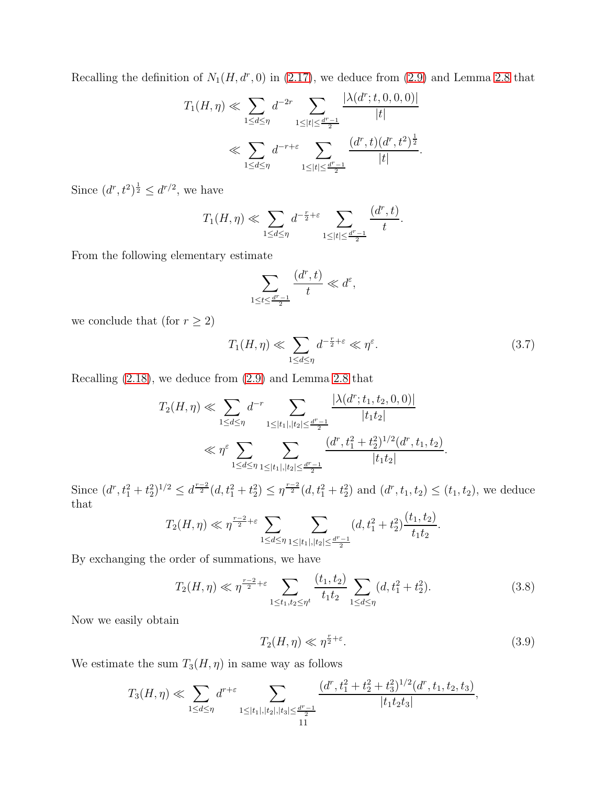Recalling the definition of  $N_1(H, d^r, 0)$  in [\(2.17\)](#page-6-4), we deduce from [\(2.9\)](#page-4-3) and Lemma [2.8](#page-6-0) that

$$
T_1(H,\eta) \ll \sum_{1 \le d \le \eta} d^{-2r} \sum_{1 \le |t| \le \frac{d^r - 1}{2}} \frac{|\lambda(d^r; t, 0, 0, 0)|}{|t|}
$$
  

$$
\ll \sum_{1 \le d \le \eta} d^{-r+\varepsilon} \sum_{1 \le |t| \le \frac{d^r - 1}{2}} \frac{(d^r, t)(d^r, t^2)^{\frac{1}{2}}}{|t|}.
$$

Since  $(d^r, t^2)^{\frac{1}{2}} \leq d^{r/2}$ , we have

$$
T_1(H,\eta) \ll \sum_{1 \le d \le \eta} d^{-\frac{r}{2}+\varepsilon} \sum_{1 \le |t| \le \frac{d^r-1}{2}} \frac{(d^r, t)}{t}.
$$

From the following elementary estimate

$$
\sum_{1 \le t \le \frac{d^r - 1}{2}} \frac{(d^r, t)}{t} \ll d^{\varepsilon},
$$

we conclude that (for  $r\geq 2)$ 

$$
T_1(H,\eta) \ll \sum_{1 \le d \le \eta} d^{-\frac{r}{2}+\varepsilon} \ll \eta^{\varepsilon}.
$$
 (3.7)

Recalling [\(2.18\)](#page-6-7), we deduce from [\(2.9\)](#page-4-3) and Lemma [2.8](#page-6-0) that

$$
T_2(H,\eta) \ll \sum_{1 \le d \le \eta} d^{-r} \sum_{1 \le |t_1|, |t_2| \le \frac{d^r - 1}{2}} \frac{|\lambda(d^r; t_1, t_2, 0, 0)|}{|t_1 t_2|} \ll \eta^{\varepsilon} \sum_{1 \le d \le \eta} \sum_{1 \le |t_1|, |t_2| \le \frac{d^r - 1}{2}} \frac{(d^r, t_1^2 + t_2^2)^{1/2}(d^r, t_1, t_2)}{|t_1 t_2|}.
$$

Since  $(d^r, t_1^2 + t_2^2)^{1/2} \leq d^{\frac{r-2}{2}}(d, t_1^2 + t_2^2) \leq \eta^{\frac{r-2}{2}}(d, t_1^2 + t_2^2)$  and  $(d^r, t_1, t_2) \leq (t_1, t_2)$ , we deduce that

$$
T_2(H,\eta) \ll \eta^{\frac{r-2}{2}+\varepsilon} \sum_{1 \le d \le \eta} \sum_{1 \le |t_1|, |t_2| \le \frac{d^r-1}{2}} (d, t_1^2 + t_2^2) \frac{(t_1, t_2)}{t_1 t_2}.
$$

By exchanging the order of summations, we have

$$
T_2(H,\eta) \ll \eta^{\frac{r-2}{2}+\varepsilon} \sum_{1 \le t_1, t_2 \le \eta^t} \frac{(t_1, t_2)}{t_1 t_2} \sum_{1 \le d \le \eta} (d, t_1^2 + t_2^2).
$$
 (3.8)

Now we easily obtain

<span id="page-10-0"></span>
$$
T_2(H,\eta) \ll \eta^{\frac{r}{2}+\varepsilon}.\tag{3.9}
$$

We estimate the sum  $T_3(H, \eta)$  in same way as follows

$$
T_3(H,\eta) \ll \sum_{1 \leq d \leq \eta} d^{r+\varepsilon} \sum_{\substack{1 \leq |t_1|, |t_2|, |t_3| \leq \frac{d^r-1}{2} \\ 11}} \frac{(d^r, t_1^2 + t_2^2 + t_3^2)^{1/2}(d^r, t_1, t_2, t_3)}{|t_1 t_2 t_3|},
$$